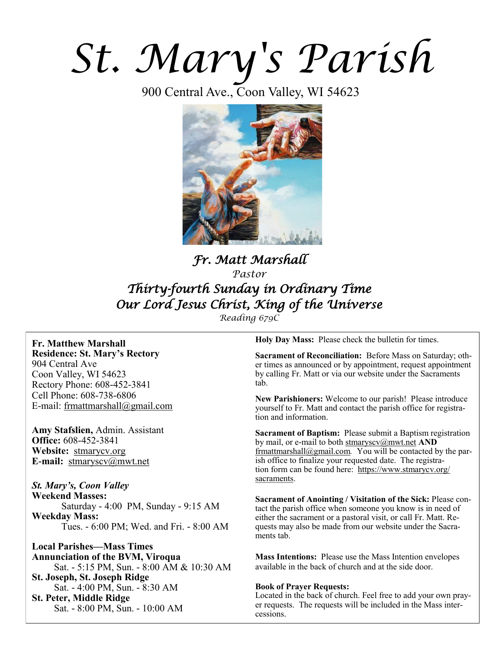# *St. Mary's Parish*

900 Central Ave., Coon Valley, WI 54623



## *Fr. Matt Marshall Pastor Thirty-fourth Sunday in Ordinary Time Our Lord Jesus Christ, King of the Universe*

*Reading 679C*

#### **Fr. Matthew Marshall Residence: St. Mary's Rectory** 904 Central Ave

Coon Valley, WI 54623 Rectory Phone: 608-452-3841 Cell Phone: 608-738-6806 E-mail: [frmattmarshall@gmail.com](mailto:frmattmarshall@gmail.com)

**Amy Stafslien,** Admin. Assistant **Office:** 608-452-3841 **Website:** <stmarycv.org> **E-mail:** [stmaryscv@mwt.net](mailto:stmaryscv@mwt.net)

*St. Mary's, Coon Valley*  **Weekend Masses:** Saturday - 4:00 PM, Sunday - 9:15 AM **Weekday Mass:**  Tues. - 6:00 PM; Wed. and Fri. - 8:00 AM

**Local Parishes—Mass Times Annunciation of the BVM, Viroqua** Sat. - 5:15 PM, Sun. - 8:00 AM & 10:30 AM **St. Joseph, St. Joseph Ridge** Sat. - 4:00 PM, Sun. - 8:30 AM **St. Peter, Middle Ridge** Sat. - 8:00 PM, Sun. - 10:00 AM

**Holy Day Mass:** Please check the bulletin for times.

**Sacrament of Reconciliation:** Before Mass on Saturday; other times as announced or by appointment, request appointment by calling Fr. Matt or via our website under the Sacraments tab.

**New Parishioners:** Welcome to our parish! Please introduce yourself to Fr. Matt and contact the parish office for registration and information.

**Sacrament of Baptism:** Please submit a Baptism registration by mail, or e-mail to both [stmaryscv@mwt.net](mailto:stmaryscv@mwt.net) **AND** [frmattmarshall@gmail.com](mailto:frmattmarshall@gmail.com)*.* You will be contacted by the parish office to finalize your requested date. The registration form can be found here: [https://www.stmarycv.org/](https://www.stmarycv.org/sacraments) [sacraments.](https://www.stmarycv.org/sacraments) 

**Sacrament of Anointing / Visitation of the Sick:** Please contact the parish office when someone you know is in need of either the sacrament or a pastoral visit, or call Fr. Matt. Requests may also be made from our website under the Sacraments tab.

**Mass Intentions:** Please use the Mass Intention envelopes available in the back of church and at the side door.

#### **Book of Prayer Requests:**

Located in the back of church. Feel free to add your own prayer requests. The requests will be included in the Mass intercessions.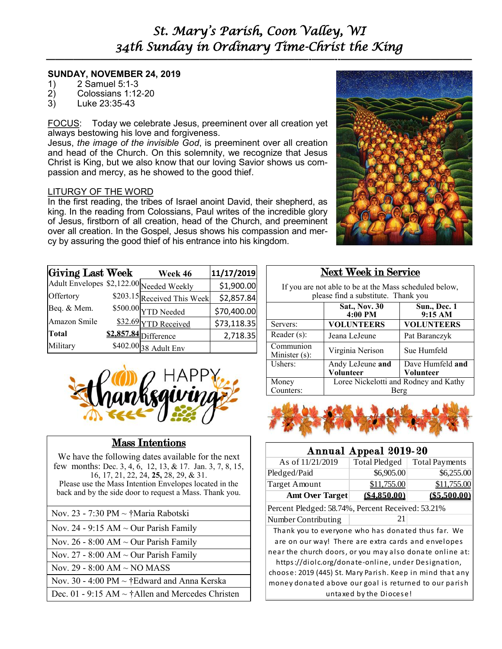## *St. Mary's Parish, Coon Valley, WI 34th Sunday in Ordinary Time-Christ the King*

**—————————————————————————–———–-——–--—————————————–—**

#### **SUNDAY, NOVEMBER 24, 2019**

- 1) 2 Samuel 5:1-3
- 2) Colossians 1:12-20
- 3) Luke 23:35-43

FOCUS: Today we celebrate Jesus, preeminent over all creation yet always bestowing his love and forgiveness.

Jesus, *the image of the invisible God*, is preeminent over all creation and head of the Church. On this solemnity, we recognize that Jesus Christ is King, but we also know that our loving Savior shows us compassion and mercy, as he showed to the good thief.

#### LITURGY OF THE WORD

In the first reading, the tribes of Israel anoint David, their shepherd, as king. In the reading from Colossians, Paul writes of the incredible glory of Jesus, firstborn of all creation, head of the Church, and preeminent over all creation. In the Gospel, Jesus shows his compassion and mercy by assuring the good thief of his entrance into his kingdom.

| Giving Last Week                         | Week 46                     | 11/17/2019  |
|------------------------------------------|-----------------------------|-------------|
| Adult Envelopes \$2,122.00 Needed Weekly |                             | \$1,900.00  |
| Offertory                                | \$203.15 Received This Week | \$2,857.84  |
| Beq. & Mem.                              | $$500.00$ YTD Needed        | \$70,400.00 |
| Amazon Smile                             | \$32.69 YTD Received        | \$73,118.35 |
| <b>Total</b>                             | \$2,857.84 Difference       | 2,718.35    |
| Military                                 | \$402.00 38 Adult Env       |             |



## Mass Intentions

We have the following dates available for the next few months: Dec. 3, 4, 6, 12, 13, & 17. Jan. 3, 7, 8, 15, 16, 17, 21, 22, 24, **25,** 28, 29, & 31. Please use the Mass Intention Envelopes located in the back and by the side door to request a Mass. Thank you.

| Nov. 23 - 7:30 PM $\sim \frac{1}{l}$ Maria Rabotski |  |
|-----------------------------------------------------|--|
|-----------------------------------------------------|--|

- Nov. 24 9:15 AM  $\sim$  Our Parish Family
- Nov. 26 8:00 AM  $\sim$  Our Parish Family
- Nov. 27 8:00 AM  $\sim$  Our Parish Family
- Nov. 29 8:00 AM ~ NO MASS

Nov. 30 - 4:00 PM ~ †Edward and Anna Kerska

Dec. 01 - 9:15 AM  $\sim$  †Allen and Mercedes Christen

#### Next Week in Service

If you are not able to be at the Mass scheduled below, please find a substitute. Thank you

|                               | <b>Sat., Nov. 30</b><br>4:00 PM       | Sun., Dec. 1<br>9:15 AM |  |
|-------------------------------|---------------------------------------|-------------------------|--|
| Servers:                      | <b>VOLUNTEERS</b>                     | <b>VOLUNTEERS</b>       |  |
| Reader (s):                   | Jeana LeJeune                         | Pat Baranczyk           |  |
| Communion<br>Minister $(s)$ : | Virginia Nerison                      | Sue Humfeld             |  |
| Ushers:                       | Andy LeJeune and                      | Dave Humfeld and        |  |
|                               | Volunteer                             | Volunteer               |  |
| Money                         | Loree Nickelotti and Rodney and Kathy |                         |  |
| Counters:                     | Berg                                  |                         |  |



#### As of  $11/21/2019$  Total Pledged Total Payments Pledged/Paid  $$6,905.00$   $$6,255.00$ Target Amount \$11,755.00 \$11,755.00 **Amt Over Target (\$4,850.00) (\$5,500.00)** Percent Pledged: 58.74%, Percent Received: 53.21% Number Contributing 21 Annual Appeal 2019-20 Thank you to everyone who has donated thus far. We are on our way! There are extra cards and envelopes near the church doors, or you may also donate online at: https://diolc.org/donate-online, under Designation, choose: 2019 (445) St. Mary Parish. Keep in mind that any money donated above our goal is returned to our parish untaxed by the Diocese!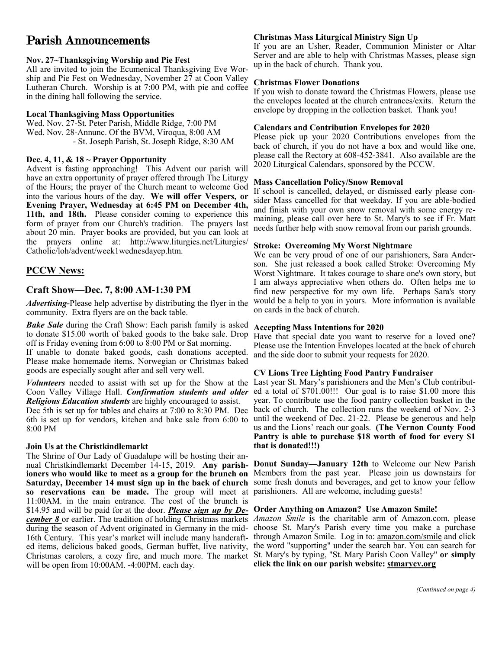## Parish Announcements

#### **Nov. 27~Thanksgiving Worship and Pie Fest**

All are invited to join the Ecumenical Thanksgiving Eve Worship and Pie Fest on Wednesday, November 27 at Coon Valley Lutheran Church. Worship is at 7:00 PM, with pie and coffee in the dining hall following the service.

#### **Local Thanksgiving Mass Opportunities**

Wed. Nov. 27-St. Peter Parish, Middle Ridge, 7:00 PM Wed. Nov. 28-Annunc. Of the BVM, Viroqua, 8:00 AM - St. Joseph Parish, St. Joseph Ridge, 8:30 AM

#### **Dec. 4, 11, & 18 ~ Prayer Opportunity**

Advent is fasting approaching! This Advent our parish will have an extra opportunity of prayer offered through The Liturgy of the Hours; the prayer of the Church meant to welcome God into the various hours of the day. **We will offer Vespers, or Evening Prayer, Wednesday at 6:45 PM on December 4th, 11th, and 18th.** Please consider coming to experience this form of prayer from our Church's tradition. The prayers last about 20 min. Prayer books are provided, but you can look at the prayers online at: [http://www.liturgies.net/Liturgies/](http://www.liturgies.net/Liturgies/Catholic/loh/advent/week1wednesdayep.htm) [Catholic/loh/advent/week1wednesdayep.htm.](http://www.liturgies.net/Liturgies/Catholic/loh/advent/week1wednesdayep.htm)

#### **PCCW News:**

#### **Craft Show—Dec. 7, 8:00 AM-1:30 PM**

*Advertising-*Please help advertise by distributing the flyer in the community. Extra flyers are on the back table.

*Bake Sale* during the Craft Show: Each parish family is asked to donate \$15.00 worth of baked goods to the bake sale. Drop off is Friday evening from 6:00 to 8:00 PM or Sat morning. If unable to donate baked goods, cash donations accepted.

Please make homemade items. Norwegian or Christmas baked goods are especially sought after and sell very well.

Coon Valley Village Hall. *Confirmation students and older Religious Education students* are highly encouraged to assist. 8:00 PM

#### **Join Us at the Christkindlemarkt**

The Shrine of Our Lady of Guadalupe will be hosting their annual Christkindlemarkt December 14-15, 2019. **Any parishioners who would like to meet as a group for the brunch on Saturday, December 14 must sign up in the back of church so reservations can be made.** The group will meet at parishioners. All are welcome, including guests! 11:00AM. in the main entrance. The cost of the brunch is \$14.95 and will be paid for at the door. *Please sign up by December 8* or earlier. The tradition of holding Christmas markets *Amazon Smile* is the charitable arm of Amazon.com, please during the season of Advent originated in Germany in the mid-choose St. Mary's Parish every time you make a purchase 16th Century. This year's market will include many handcraft- through Amazon Smile. Log in to: [amazon.com/smile](http://amazon.com/smile) and click ed items, delicious baked goods, German buffet, live nativity, the word "supporting" under the search bar. You can search for Christmas carolers, a cozy fire, and much more. The market St. Mary's by typing, "St. Mary Parish Coon Valley" **or simply**  will be open from 10:00AM. -4:00PM. each day.

#### **Christmas Mass Liturgical Ministry Sign Up**

If you are an Usher, Reader, Communion Minister or Altar Server and are able to help with Christmas Masses, please sign up in the back of church. Thank you.

#### **Christmas Flower Donations**

If you wish to donate toward the Christmas Flowers, please use the envelopes located at the church entrances/exits. Return the envelope by dropping in the collection basket. Thank you!

#### **Calendars and Contribution Envelopes for 2020**

Please pick up your 2020 Contributions envelopes from the back of church, if you do not have a box and would like one, please call the Rectory at 608-452-3841. Also available are the 2020 Liturgical Calendars, sponsored by the PCCW.

#### **Mass Cancellation Policy/Snow Removal**

If school is cancelled, delayed, or dismissed early please consider Mass cancelled for that weekday. If you are able-bodied and finish with your own snow removal with some energy remaining, please call over here to St. Mary's to see if Fr. Matt needs further help with snow removal from our parish grounds.

#### **Stroke: Overcoming My Worst Nightmare**

We can be very proud of one of our parishioners, Sara Anderson. She just released a book called Stroke: Overcoming My Worst Nightmare. It takes courage to share one's own story, but I am always appreciative when others do. Often helps me to find new perspective for my own life. Perhaps Sara's story would be a help to you in yours. More information is available on cards in the back of church.

#### **Accepting Mass Intentions for 2020**

Have that special date you want to reserve for a loved one? Please use the Intention Envelopes located at the back of church and the side door to submit your requests for 2020.

#### **CV Lions Tree Lighting Food Pantry Fundraiser**

*Volunteers* needed to assist with set up for the Show at the Last year St. Mary's parishioners and the Men's Club contribut-Dec 5th is set up for tables and chairs at 7:00 to 8:30 PM. Dec back of church. The collection runs the weekend of Nov. 2-3 6th is set up for vendors, kitchen and bake sale from 6:00 to until the weekend of Dec. 21-22. Please be generous and help ed a total of \$701.00!!! Our goal is to raise \$1.00 more this year. To contribute use the food pantry collection basket in the us and the Lions' reach our goals. **(The Vernon County Food Pantry is able to purchase \$18 worth of food for every \$1 that is donated!!!)**

> **Donut Sunday—January 12th** to Welcome our New Parish Members from the past year. Please join us downstairs for some fresh donuts and beverages, and get to know your fellow

#### **Order Anything on Amazon? Use Amazon Smile!**

**click the link on our parish website: <stmarycv.org>**